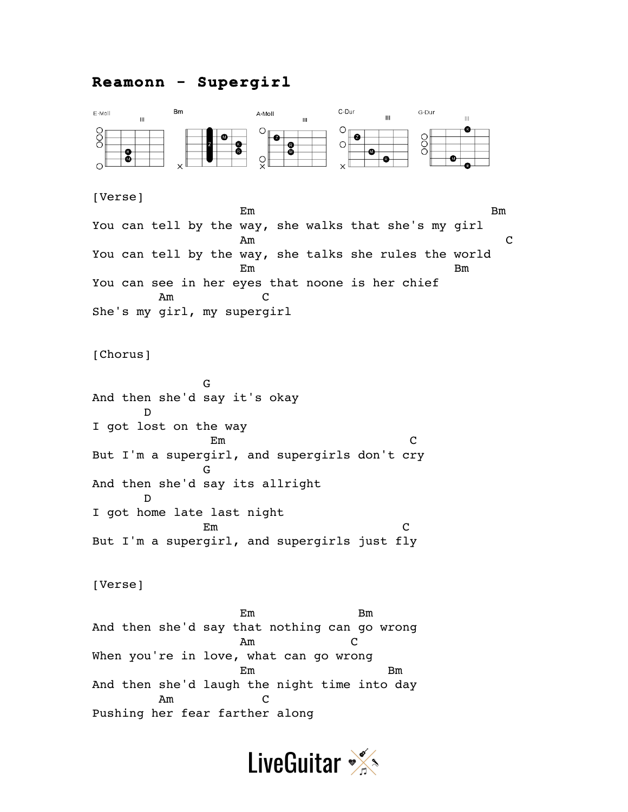## **Reamonn - Supergirl**



## [Verse]

en de la provincia de la provincia de la provincia de la provincia de la provincia de la provincia de la provi You can tell by the way, she walks that she's my girl Am C You can tell by the way, she talks she rules the world en de la Borde de la Borde de la Borde de la Borde de la Borde de la Borde de la Borde de la Borde de la Borde de la Borde de la Borde de la Borde de la Borde de la Borde de la Borde de la Borde de la Borde de la Borde de You can see in her eyes that noone is her chief Am C She's my girl, my supergirl

[Chorus]

 G And then she'd say it's okay D I got lost on the way Em C But I'm a supergirl, and supergirls don't cry G And then she'd say its allright D I got home late last night Em C But I'm a supergirl, and supergirls just fly

[Verse]

 Em Bm And then she'd say that nothing can go wrong Am C When you're in love, what can go wrong Em Bm And then she'd laugh the night time into day Am C Pushing her fear farther along